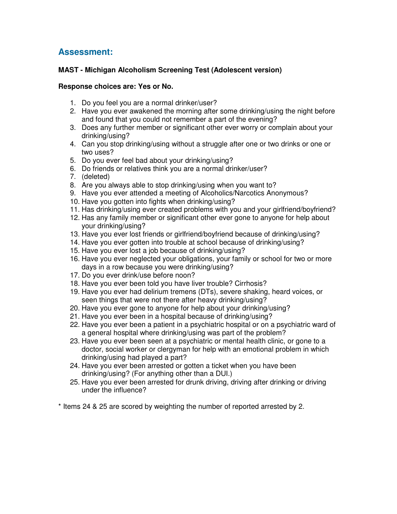## **Assessment:**

## **MAST - Michigan Alcoholism Screening Test (Adolescent version)**

## **Response choices are: Yes or No.**

- 1. Do you feel you are a normal drinker/user?
- 2. Have you ever awakened the morning after some drinking/using the night before and found that you could not remember a part of the evening?
- 3. Does any further member or significant other ever worry or complain about your drinking/using?
- 4. Can you stop drinking/using without a struggle after one or two drinks or one or two uses?
- 5. Do you ever feel bad about your drinking/using?
- 6. Do friends or relatives think you are a normal drinker/user?
- 7. (deleted)
- 8. Are you always able to stop drinking/using when you want to?
- 9. Have you ever attended a meeting of Alcoholics/Narcotics Anonymous?
- 10. Have you gotten into fights when drinking/using?
- 11. Has drinking/using ever created problems with you and your girlfriend/boyfriend?
- 12. Has any family member or significant other ever gone to anyone for help about your drinking/using?
- 13. Have you ever lost friends or girlfriend/boyfriend because of drinking/using?
- 14. Have you ever gotten into trouble at school because of drinking/using?
- 15. Have you ever lost a job because of drinking/using?
- 16. Have you ever neglected your obligations, your family or school for two or more days in a row because you were drinking/using?
- 17. Do you ever drink/use before noon?
- 18. Have you ever been told you have liver trouble? Cirrhosis?
- 19. Have you ever had delirium tremens (DTs), severe shaking, heard voices, or seen things that were not there after heavy drinking/using?
- 20. Have you ever gone to anyone for help about your drinking/using?
- 21. Have you ever been in a hospital because of drinking/using?
- 22. Have you ever been a patient in a psychiatric hospital or on a psychiatric ward of a general hospital where drinking/using was part of the problem?
- 23. Have you ever been seen at a psychiatric or mental health clinic, or gone to a doctor, social worker or clergyman for help with an emotional problem in which drinking/using had played a part?
- 24. Have you ever been arrested or gotten a ticket when you have been drinking/using? (For anything other than a DUI.)
- 25. Have you ever been arrested for drunk driving, driving after drinking or driving under the influence?
- \* Items 24 & 25 are scored by weighting the number of reported arrested by 2.